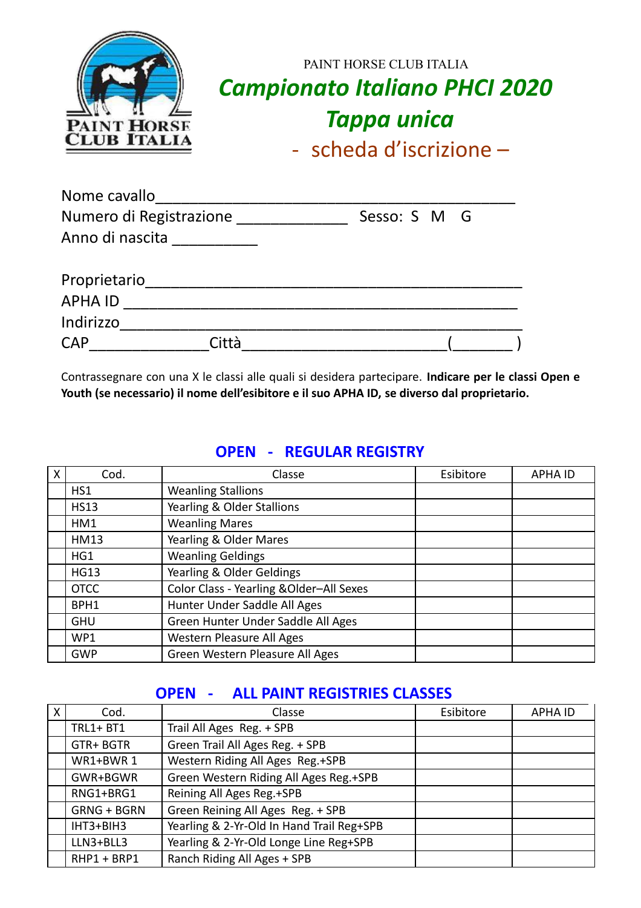| PAINT HORSE        | PAINT HORSE CLUB ITALIA<br><b>Campionato Italiano PHCI 2020</b><br><b>Tappa unica</b> |
|--------------------|---------------------------------------------------------------------------------------|
| <b>CLUB ITALIA</b> | - scheda d'iscrizione $-$                                                             |

| Nome cavallo            |       |              |  |
|-------------------------|-------|--------------|--|
| Numero di Registrazione |       | Sesso: S M G |  |
| Anno di nascita         |       |              |  |
| Proprietario            |       |              |  |
| <b>APHA ID</b>          |       |              |  |
| Indirizzo               |       |              |  |
| <b>CAP</b>              | Città |              |  |

Contrassegnare con una X le classi alle quali si desidera partecipare. **Indicare per le classi Open e Youth (se necessario) il nome dell'esibitore e il suo APHA ID, se diverso dal proprietario.**

#### **OPEN - REGULAR REGISTRY**

| X | Cod.        | Classe                                   | Esibitore | <b>APHA ID</b> |
|---|-------------|------------------------------------------|-----------|----------------|
|   | HS1         | <b>Weanling Stallions</b>                |           |                |
|   | <b>HS13</b> | Yearling & Older Stallions               |           |                |
|   | HM1         | <b>Weanling Mares</b>                    |           |                |
|   | <b>HM13</b> | Yearling & Older Mares                   |           |                |
|   | HG1         | <b>Weanling Geldings</b>                 |           |                |
|   | <b>HG13</b> | Yearling & Older Geldings                |           |                |
|   | <b>OTCC</b> | Color Class - Yearling & Older-All Sexes |           |                |
|   | BPH1        | Hunter Under Saddle All Ages             |           |                |
|   | <b>GHU</b>  | Green Hunter Under Saddle All Ages       |           |                |
|   | WP1         | Western Pleasure All Ages                |           |                |
|   | <b>GWP</b>  | Green Western Pleasure All Ages          |           |                |

## **OPEN - ALL PAINT REGISTRIES CLASSES**

| X | Cod.               | Classe                                    | Esibitore | <b>APHA ID</b> |
|---|--------------------|-------------------------------------------|-----------|----------------|
|   | $TRL1 + BT1$       | Trail All Ages Reg. + SPB                 |           |                |
|   | GTR+BGTR           | Green Trail All Ages Reg. + SPB           |           |                |
|   | WR1+BWR1           | Western Riding All Ages Reg.+SPB          |           |                |
|   | GWR+BGWR           | Green Western Riding All Ages Reg.+SPB    |           |                |
|   | RNG1+BRG1          | Reining All Ages Reg.+SPB                 |           |                |
|   | <b>GRNG + BGRN</b> | Green Reining All Ages Reg. + SPB         |           |                |
|   | IHT3+BIH3          | Yearling & 2-Yr-Old In Hand Trail Reg+SPB |           |                |
|   | LLN3+BLL3          | Yearling & 2-Yr-Old Longe Line Reg+SPB    |           |                |
|   | RHP1 + BRP1        | Ranch Riding All Ages + SPB               |           |                |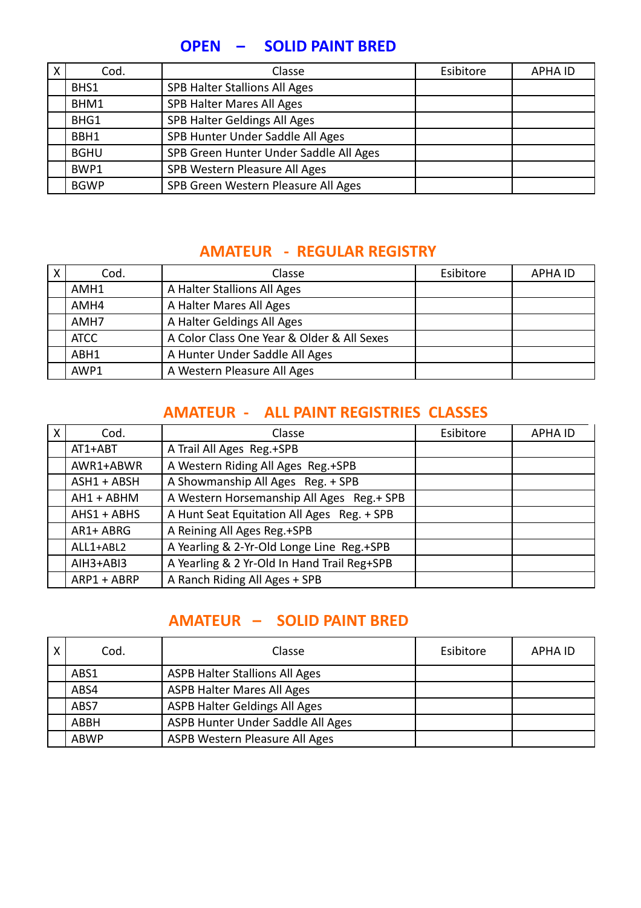#### **OPEN – SOLID PAINT BRED**

| Cod.        | Classe                                 | Esibitore | <b>APHA ID</b> |
|-------------|----------------------------------------|-----------|----------------|
| BHS1        | <b>SPB Halter Stallions All Ages</b>   |           |                |
| BHM1        | SPB Halter Mares All Ages              |           |                |
| BHG1        | SPB Halter Geldings All Ages           |           |                |
| BBH1        | SPB Hunter Under Saddle All Ages       |           |                |
| <b>BGHU</b> | SPB Green Hunter Under Saddle All Ages |           |                |
| BWP1        | SPB Western Pleasure All Ages          |           |                |
| <b>BGWP</b> | SPB Green Western Pleasure All Ages    |           |                |

### **AMATEUR - REGULAR REGISTRY**

| $\boldsymbol{\mathsf{X}}$ | Cod.        | Classe                                     | Esibitore | <b>APHA ID</b> |
|---------------------------|-------------|--------------------------------------------|-----------|----------------|
|                           | AMH1        | A Halter Stallions All Ages                |           |                |
|                           | AMH4        | A Halter Mares All Ages                    |           |                |
|                           | AMH7        | A Halter Geldings All Ages                 |           |                |
|                           | <b>ATCC</b> | A Color Class One Year & Older & All Sexes |           |                |
|                           | ABH1        | A Hunter Under Saddle All Ages             |           |                |
|                           | AWP1        | A Western Pleasure All Ages                |           |                |

#### **AMATEUR - ALL PAINT REGISTRIES CLASSES**

| $\boldsymbol{\mathsf{X}}$ | Cod.          | Classe                                      | Esibitore | <b>APHA ID</b> |
|---------------------------|---------------|---------------------------------------------|-----------|----------------|
|                           | AT1+ABT       | A Trail All Ages Reg.+SPB                   |           |                |
|                           | AWR1+ABWR     | A Western Riding All Ages Reg.+SPB          |           |                |
|                           | $ASH1 + ABSH$ | A Showmanship All Ages Reg. + SPB           |           |                |
|                           | AH1 + ABHM    | A Western Horsemanship All Ages Reg.+ SPB   |           |                |
|                           | $AHS1 + ABHS$ | A Hunt Seat Equitation All Ages Reg. + SPB  |           |                |
|                           | AR1+ ABRG     | A Reining All Ages Reg.+SPB                 |           |                |
|                           | ALL1+ABL2     | A Yearling & 2-Yr-Old Longe Line Reg.+SPB   |           |                |
|                           | AIH3+ABI3     | A Yearling & 2 Yr-Old In Hand Trail Reg+SPB |           |                |
|                           | ARP1 + ABRP   | A Ranch Riding All Ages + SPB               |           |                |

## **AMATEUR – SOLID PAINT BRED**

| Cod.        | Classe                                | Esibitore | APHA ID |
|-------------|---------------------------------------|-----------|---------|
| ABS1        | <b>ASPB Halter Stallions All Ages</b> |           |         |
| ABS4        | <b>ASPB Halter Mares All Ages</b>     |           |         |
| ABS7        | ASPB Halter Geldings All Ages         |           |         |
| ABBH        | ASPB Hunter Under Saddle All Ages     |           |         |
| <b>ABWP</b> | ASPB Western Pleasure All Ages        |           |         |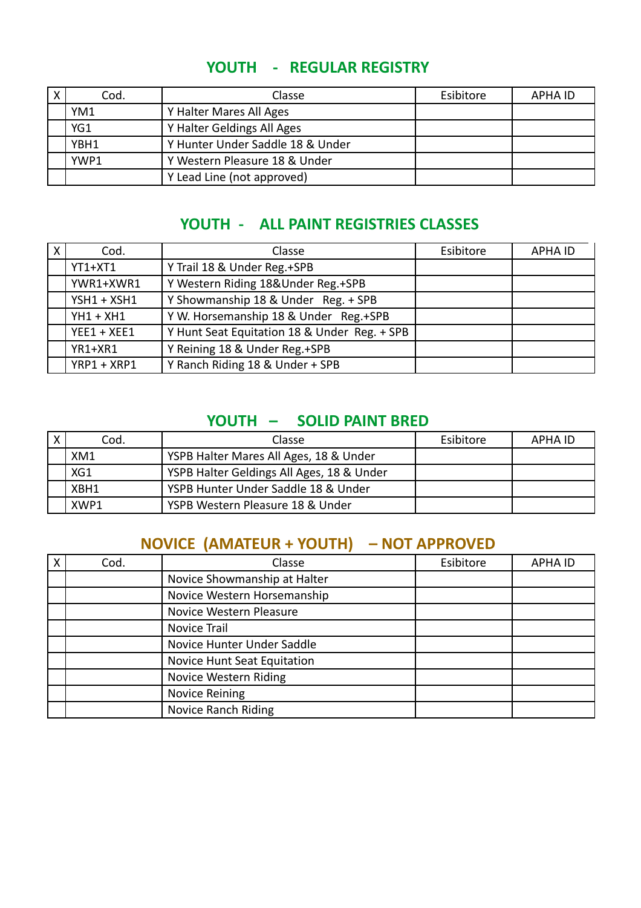| $\checkmark$ | Cod. | Classe                           | Esibitore | APHA ID |
|--------------|------|----------------------------------|-----------|---------|
|              | YM1  | Y Halter Mares All Ages          |           |         |
|              | YG1  | Y Halter Geldings All Ages       |           |         |
|              | YBH1 | Y Hunter Under Saddle 18 & Under |           |         |
|              | YWP1 | Y Western Pleasure 18 & Under    |           |         |
|              |      | Y Lead Line (not approved)       |           |         |

## **YOUTH - REGULAR REGISTRY**

## **YOUTH - ALL PAINT REGISTRIES CLASSES**

| $\mathsf{X}$ | Cod.          | Classe                                       | Esibitore | <b>APHA ID</b> |
|--------------|---------------|----------------------------------------------|-----------|----------------|
|              | YT1+XT1       | Y Trail 18 & Under Reg.+SPB                  |           |                |
|              | YWR1+XWR1     | Y Western Riding 18&Under Reg.+SPB           |           |                |
|              | $YSH1 + XSH1$ | Y Showmanship 18 & Under Reg. + SPB          |           |                |
|              | $YH1 + XH1$   | Y W. Horsemanship 18 & Under Reg.+SPB        |           |                |
|              | $YEE1 + XEE1$ | Y Hunt Seat Equitation 18 & Under Reg. + SPB |           |                |
|              | YR1+XR1       | Y Reining 18 & Under Reg.+SPB                |           |                |
|              | YRP1 + XRP1   | Y Ranch Riding 18 & Under + SPB              |           |                |

## **YOUTH – SOLID PAINT BRED**

| Cod. | Classe                                    | Esibitore | APHA ID |
|------|-------------------------------------------|-----------|---------|
| XM1  | YSPB Halter Mares All Ages, 18 & Under    |           |         |
| XG1  | YSPB Halter Geldings All Ages, 18 & Under |           |         |
| XBH1 | YSPB Hunter Under Saddle 18 & Under       |           |         |
| XWP1 | YSPB Western Pleasure 18 & Under          |           |         |

# **NOVICE (AMATEUR + YOUTH) – NOT APPROVED**

| Cod. | Classe                       | Esibitore | <b>APHA ID</b> |
|------|------------------------------|-----------|----------------|
|      | Novice Showmanship at Halter |           |                |
|      | Novice Western Horsemanship  |           |                |
|      | Novice Western Pleasure      |           |                |
|      | Novice Trail                 |           |                |
|      | Novice Hunter Under Saddle   |           |                |
|      | Novice Hunt Seat Equitation  |           |                |
|      | Novice Western Riding        |           |                |
|      | <b>Novice Reining</b>        |           |                |
|      | <b>Novice Ranch Riding</b>   |           |                |